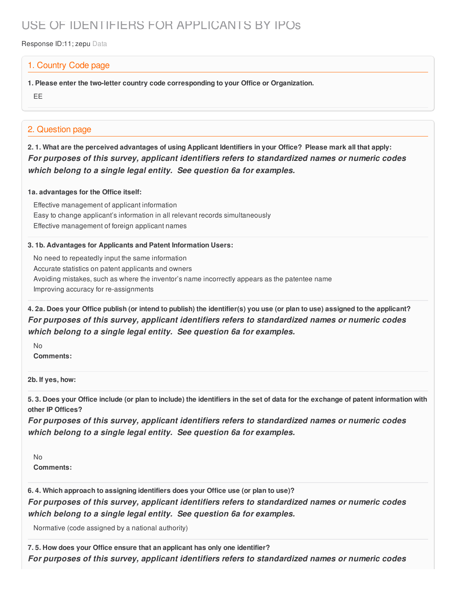# USE OF IDENTIFIERS FOR APPLICANTS BY IPOs

Response ID:11; zepu Data

## 1. Country Code page

**1. Please enter the two-letter country code corresponding to your Office or Organization.**

EE

# 2. Question page

2.1. What are the perceived advantages of using Applicant Identifiers in your Office? Please mark all that apply: *For purposes of this survey, applicant identifiers refers to standardized names or numeric codes which belong to a single legal entity. See question 6a for examples.*

#### **1a. advantages for the Office itself:**

Effective management of applicant information Easy to change applicant's information in all relevant records simultaneously Effective management of foreign applicant names

#### **3. 1b. Advantages for Applicants and Patent Information Users:**

No need to repeatedly input the same information Accurate statistics on patent applicants and owners Avoiding mistakes, such as where the inventor's name incorrectly appears as the patentee name Improving accuracy for re-assignments

4. 2a. Does your Office publish (or intend to publish) the identifier(s) you use (or plan to use) assigned to the applicant? *For purposes of this survey, applicant identifiers refers to standardized names or numeric codes which belong to a single legal entity. See question 6a for examples.*

No **Comments:**

**2b. If yes, how:**

5.3. Does your Office include (or plan to include) the identifiers in the set of data for the exchange of patent information with **other IP Offices?**

*For purposes of this survey, applicant identifiers refers to standardized names or numeric codes which belong to a single legal entity. See question 6a for examples.*

No **Comments:**

**6. 4. Which approach to assigning identifiers does your Office use (or plan to use)?** *For purposes of this survey, applicant identifiers refers to standardized names or numeric codes which belong to a single legal entity. See question 6a for examples.*

Normative (code assigned by a national authority)

**7. 5. How does your Office ensure that an applicant has only one identifier?** *For purposes of this survey, applicant identifiers refers to standardized names or numeric codes*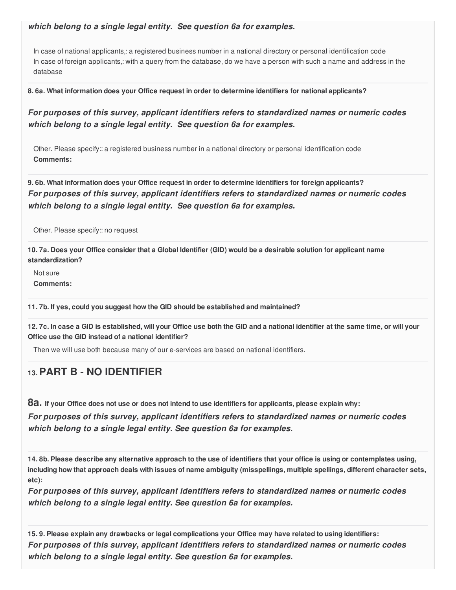### *which belong to a single legal entity. See question 6a for examples.*

In case of national applicants,: a registered business number in a national directory or personal identification code In case of foreign applicants,: with a query from the database, do we have a person with such a name and address in the database

**8. 6a. What information does your Office request in order to determine identifiers for national applicants?**

*For purposes of this survey, applicant identifiers refers to standardized names or numeric codes which belong to a single legal entity. See question 6a for examples.*

Other. Please specify:: a registered business number in a national directory or personal identification code **Comments:**

**9. 6b. What information does your Office request in order to determine identifiers for foreign applicants?** *For purposes of this survey, applicant identifiers refers to standardized names or numeric codes which belong to a single legal entity. See question 6a for examples.*

Other. Please specify:: no request

10.7a. Does your Office consider that a Global Identifier (GID) would be a desirable solution for applicant name **standardization?**

Not sure **Comments:**

**11. 7b. If yes, could you suggest how the GID should be established and maintained?**

12.7c. In case a GID is established, will your Office use both the GID and a national identifier at the same time, or will your **Office use the GID instead of a national identifier?**

Then we will use both because many of our e-services are based on national identifiers.

# **13.PART B - NO IDENTIFIER**

8a. If your Office does not use or does not intend to use identifiers for applicants, please explain why:

*For purposes of this survey, applicant identifiers refers to standardized names or numeric codes which belong to a single legal entity. See question 6a for examples.*

14.8b. Please describe any alternative approach to the use of identifiers that your office is using or contemplates using, including how that approach deals with issues of name ambiguity (misspellings, multiple spellings, different character sets, **etc):**

*For purposes of this survey, applicant identifiers refers to standardized names or numeric codes which belong to a single legal entity. See question 6a for examples.*

15.9. Please explain any drawbacks or legal complications your Office may have related to using identifiers: *For purposes of this survey, applicant identifiers refers to standardized names or numeric codes which belong to a single legal entity. See question 6a for examples.*